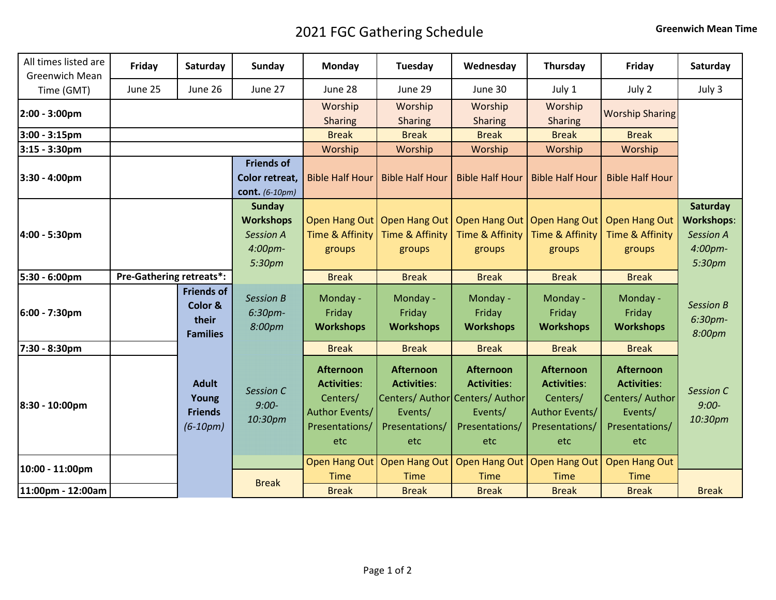## 2021 FGC Gathering Schedule **Greenwich Mean Time**

| All times listed are<br>Greenwich Mean | Friday                          | Saturday                                                 | Sunday                                                                                | Monday                                                                                        | Tuesday                                                                                                       | Wednesday                                                                  | Thursday                                                                                      | Friday                                                                                       | Saturday                                                                  |
|----------------------------------------|---------------------------------|----------------------------------------------------------|---------------------------------------------------------------------------------------|-----------------------------------------------------------------------------------------------|---------------------------------------------------------------------------------------------------------------|----------------------------------------------------------------------------|-----------------------------------------------------------------------------------------------|----------------------------------------------------------------------------------------------|---------------------------------------------------------------------------|
| Time (GMT)                             | June 25                         | June 26                                                  | June 27                                                                               | June 28                                                                                       | June 29                                                                                                       | June 30                                                                    | July 1                                                                                        | July 2                                                                                       | July 3                                                                    |
| 2:00 - 3:00pm                          |                                 |                                                          |                                                                                       | Worship<br><b>Sharing</b>                                                                     | Worship<br><b>Sharing</b>                                                                                     | Worship<br><b>Sharing</b>                                                  | Worship<br><b>Sharing</b>                                                                     | <b>Worship Sharing</b>                                                                       |                                                                           |
| 3:00 - 3:15pm                          |                                 |                                                          |                                                                                       | <b>Break</b>                                                                                  | <b>Break</b>                                                                                                  | <b>Break</b>                                                               | <b>Break</b>                                                                                  | <b>Break</b>                                                                                 |                                                                           |
| 3:15 - 3:30pm                          |                                 |                                                          |                                                                                       | Worship                                                                                       | Worship                                                                                                       | Worship                                                                    | Worship                                                                                       | Worship                                                                                      |                                                                           |
| 3:30 - 4:00pm                          |                                 |                                                          | <b>Friends of</b><br>Color retreat,<br><b>cont.</b> (6-10pm)                          | <b>Bible Half Hour</b>                                                                        | <b>Bible Half Hour</b>                                                                                        | <b>Bible Half Hour</b>                                                     | <b>Bible Half Hour</b>                                                                        | <b>Bible Half Hour</b>                                                                       |                                                                           |
| 4:00 - 5:30pm                          |                                 |                                                          | <b>Sunday</b><br><b>Workshops</b><br><b>Session A</b><br>4:00 <sub>pm</sub><br>5:30pm | Time & Affinity<br>groups                                                                     | Open Hang Out   Open Hang Out<br><b>Time &amp; Affinity</b><br>groups                                         | Open Hang Out   Open Hang Out<br>Time & Affinity<br>groups                 | <b>Time &amp; Affinity</b><br>groups                                                          | <b>Open Hang Out</b><br><b>Time &amp; Affinity</b><br>groups                                 | Saturday<br><b>Workshops:</b><br><b>Session A</b><br>$4:00$ pm-<br>5:30pm |
| 5:30 - 6:00pm                          | <b>Pre-Gathering retreats*:</b> |                                                          |                                                                                       | <b>Break</b>                                                                                  | <b>Break</b>                                                                                                  | <b>Break</b>                                                               | <b>Break</b>                                                                                  | <b>Break</b>                                                                                 |                                                                           |
| 6:00 - 7:30pm                          |                                 | <b>Friends of</b><br>Color &<br>their<br><b>Families</b> | <b>Session B</b><br>6:30pm-<br>8:00pm                                                 | Monday -<br>Friday<br><b>Workshops</b>                                                        | Monday -<br>Friday<br><b>Workshops</b>                                                                        | Monday -<br>Friday<br><b>Workshops</b>                                     | Monday -<br>Friday<br><b>Workshops</b>                                                        | Monday -<br>Friday<br><b>Workshops</b>                                                       | <b>Session B</b><br>6:30pm-<br>8:00pm                                     |
| 7:30 - 8:30pm                          |                                 |                                                          |                                                                                       | <b>Break</b>                                                                                  | <b>Break</b>                                                                                                  | <b>Break</b>                                                               | <b>Break</b>                                                                                  | <b>Break</b>                                                                                 |                                                                           |
| 8:30 - 10:00pm                         |                                 | <b>Adult</b><br>Young<br><b>Friends</b><br>$(6-10pm)$    | <b>Session C</b><br>$9:00-$<br>10:30pm                                                | <b>Afternoon</b><br><b>Activities:</b><br>Centers/<br>Author Events/<br>Presentations/<br>etc | <b>Afternoon</b><br><b>Activities:</b><br>Centers/ Author Centers/ Author<br>Events/<br>Presentations/<br>etc | <b>Afternoon</b><br><b>Activities:</b><br>Events/<br>Presentations/<br>etc | <b>Afternoon</b><br><b>Activities:</b><br>Centers/<br>Author Events/<br>Presentations/<br>etc | <b>Afternoon</b><br><b>Activities:</b><br>Centers/Author<br>Events/<br>Presentations/<br>etc | Session C<br>$9:00-$<br>10:30pm                                           |
| 10:00 - 11:00pm                        |                                 |                                                          |                                                                                       | <b>Open Hang Out</b><br><b>Time</b>                                                           | <b>Open Hang Out</b><br><b>Time</b>                                                                           | <b>Open Hang Out</b><br><b>Time</b>                                        | <b>Open Hang Out</b><br><b>Time</b>                                                           | <b>Open Hang Out</b><br><b>Time</b>                                                          |                                                                           |
| 11:00pm - 12:00am                      |                                 |                                                          | <b>Break</b>                                                                          | <b>Break</b>                                                                                  | <b>Break</b>                                                                                                  | <b>Break</b>                                                               | <b>Break</b>                                                                                  | <b>Break</b>                                                                                 | <b>Break</b>                                                              |